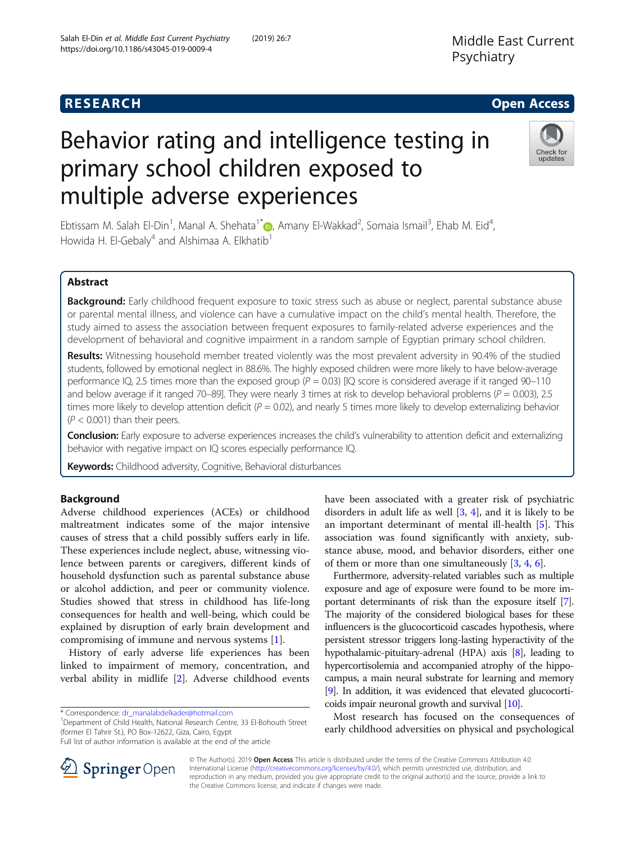# **RESEARCH CHE Open Access**

# Behavior rating and intelligence testing in primary school children exposed to multiple adverse experiences



Ebtissam M. Salah El-Din<sup>1</sup>[,](http://orcid.org/0000-0001-8749-7010) Manal A. Shehata<sup>1\*</sup> (@, Amany El-Wakkad<sup>2</sup>, Somaia Ismail<sup>3</sup>, Ehab M. Eid<sup>4</sup> , Howida H. El-Gebaly<sup>4</sup> and Alshimaa A. Elkhatib<sup>1</sup>

## Abstract

Background: Early childhood frequent exposure to toxic stress such as abuse or neglect, parental substance abuse or parental mental illness, and violence can have a cumulative impact on the child's mental health. Therefore, the study aimed to assess the association between frequent exposures to family-related adverse experiences and the development of behavioral and cognitive impairment in a random sample of Egyptian primary school children.

Results: Witnessing household member treated violently was the most prevalent adversity in 90.4% of the studied students, followed by emotional neglect in 88.6%. The highly exposed children were more likely to have below-average performance IQ, 2.5 times more than the exposed group ( $P = 0.03$ ) [IQ score is considered average if it ranged 90–110 and below average if it ranged 70–89]. They were nearly 3 times at risk to develop behavioral problems ( $P = 0.003$ ), 2.5 times more likely to develop attention deficit ( $P = 0.02$ ), and nearly 5 times more likely to develop externalizing behavior  $(P < 0.001)$  than their peers.

Conclusion: Early exposure to adverse experiences increases the child's vulnerability to attention deficit and externalizing behavior with negative impact on IQ scores especially performance IQ.

**Keywords:** Childhood adversity, Cognitive, Behavioral disturbances

## Background

Adverse childhood experiences (ACEs) or childhood maltreatment indicates some of the major intensive causes of stress that a child possibly suffers early in life. These experiences include neglect, abuse, witnessing violence between parents or caregivers, different kinds of household dysfunction such as parental substance abuse or alcohol addiction, and peer or community violence. Studies showed that stress in childhood has life-long consequences for health and well-being, which could be explained by disruption of early brain development and compromising of immune and nervous systems [\[1](#page-7-0)].

History of early adverse life experiences has been linked to impairment of memory, concentration, and verbal ability in midlife [[2\]](#page-7-0). Adverse childhood events

<sup>1</sup>Department of Child Health, National Research Centre, 33 El-Bohouth Street (former El Tahrir St.), PO Box-12622, Giza, Cairo, Egypt



Furthermore, adversity-related variables such as multiple exposure and age of exposure were found to be more important determinants of risk than the exposure itself [[7](#page-7-0)]. The majority of the considered biological bases for these influencers is the glucocorticoid cascades hypothesis, where persistent stressor triggers long-lasting hyperactivity of the hypothalamic-pituitary-adrenal (HPA) axis [\[8](#page-7-0)], leading to hypercortisolemia and accompanied atrophy of the hippocampus, a main neural substrate for learning and memory [[9](#page-7-0)]. In addition, it was evidenced that elevated glucocorticoids impair neuronal growth and survival [\[10](#page-7-0)].

Most research has focused on the consequences of early childhood adversities on physical and psychological



© The Author(s). 2019 Open Access This article is distributed under the terms of the Creative Commons Attribution 4.0 International License ([http://creativecommons.org/licenses/by/4.0/\)](http://creativecommons.org/licenses/by/4.0/), which permits unrestricted use, distribution, and reproduction in any medium, provided you give appropriate credit to the original author(s) and the source, provide a link to the Creative Commons license, and indicate if changes were made.

<sup>\*</sup> Correspondence: [dr\\_manalabdelkader@hotmail.com](mailto:dr_manalabdelkader@hotmail.com) <sup>1</sup>

Full list of author information is available at the end of the article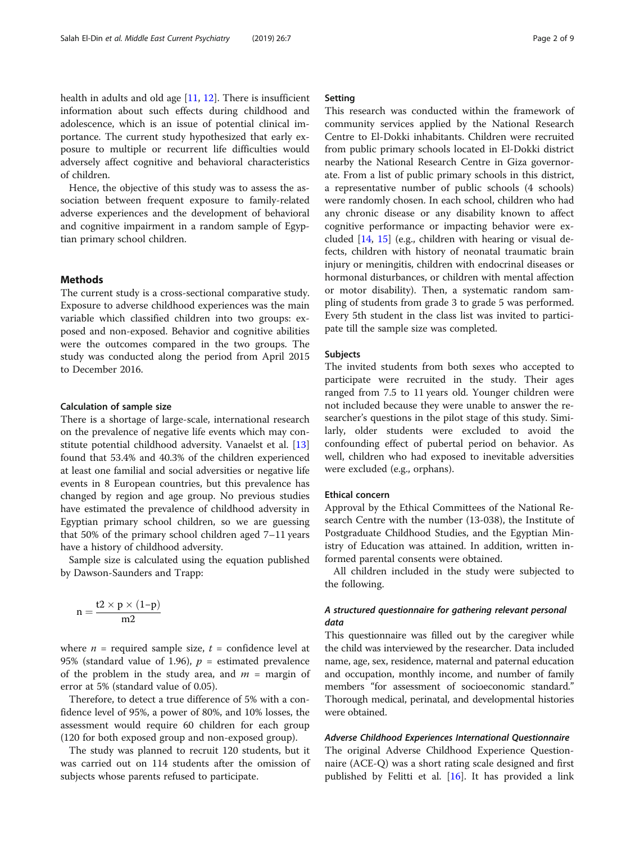health in adults and old age [\[11,](#page-7-0) [12\]](#page-7-0). There is insufficient information about such effects during childhood and adolescence, which is an issue of potential clinical importance. The current study hypothesized that early exposure to multiple or recurrent life difficulties would adversely affect cognitive and behavioral characteristics of children.

Hence, the objective of this study was to assess the association between frequent exposure to family-related adverse experiences and the development of behavioral and cognitive impairment in a random sample of Egyptian primary school children.

## Methods

The current study is a cross-sectional comparative study. Exposure to adverse childhood experiences was the main variable which classified children into two groups: exposed and non-exposed. Behavior and cognitive abilities were the outcomes compared in the two groups. The study was conducted along the period from April 2015 to December 2016.

#### Calculation of sample size

There is a shortage of large-scale, international research on the prevalence of negative life events which may constitute potential childhood adversity. Vanaelst et al. [[13](#page-7-0)] found that 53.4% and 40.3% of the children experienced at least one familial and social adversities or negative life events in 8 European countries, but this prevalence has changed by region and age group. No previous studies have estimated the prevalence of childhood adversity in Egyptian primary school children, so we are guessing that 50% of the primary school children aged 7–11 years have a history of childhood adversity.

Sample size is calculated using the equation published by Dawson-Saunders and Trapp:

$$
n=\frac{t2\times p\times (1-p)}{m2}
$$

where  $n =$  required sample size,  $t =$  confidence level at 95% (standard value of 1.96),  $p =$  estimated prevalence of the problem in the study area, and  $m =$  margin of error at 5% (standard value of 0.05).

Therefore, to detect a true difference of 5% with a confidence level of 95%, a power of 80%, and 10% losses, the assessment would require 60 children for each group (120 for both exposed group and non-exposed group).

The study was planned to recruit 120 students, but it was carried out on 114 students after the omission of subjects whose parents refused to participate.

## Setting

This research was conducted within the framework of community services applied by the National Research Centre to El-Dokki inhabitants. Children were recruited from public primary schools located in El-Dokki district nearby the National Research Centre in Giza governorate. From a list of public primary schools in this district, a representative number of public schools (4 schools) were randomly chosen. In each school, children who had any chronic disease or any disability known to affect cognitive performance or impacting behavior were excluded [[14](#page-7-0), [15](#page-7-0)] (e.g., children with hearing or visual defects, children with history of neonatal traumatic brain injury or meningitis, children with endocrinal diseases or hormonal disturbances, or children with mental affection or motor disability). Then, a systematic random sampling of students from grade 3 to grade 5 was performed. Every 5th student in the class list was invited to participate till the sample size was completed.

## Subjects

The invited students from both sexes who accepted to participate were recruited in the study. Their ages ranged from 7.5 to 11 years old. Younger children were not included because they were unable to answer the researcher's questions in the pilot stage of this study. Similarly, older students were excluded to avoid the confounding effect of pubertal period on behavior. As well, children who had exposed to inevitable adversities were excluded (e.g., orphans).

#### Ethical concern

Approval by the Ethical Committees of the National Research Centre with the number (13-038), the Institute of Postgraduate Childhood Studies, and the Egyptian Ministry of Education was attained. In addition, written informed parental consents were obtained.

All children included in the study were subjected to the following.

## A structured questionnaire for gathering relevant personal data

This questionnaire was filled out by the caregiver while the child was interviewed by the researcher. Data included name, age, sex, residence, maternal and paternal education and occupation, monthly income, and number of family members "for assessment of socioeconomic standard." Thorough medical, perinatal, and developmental histories were obtained.

## Adverse Childhood Experiences International Questionnaire

The original Adverse Childhood Experience Questionnaire (ACE-Q) was a short rating scale designed and first published by Felitti et al. [\[16](#page-7-0)]. It has provided a link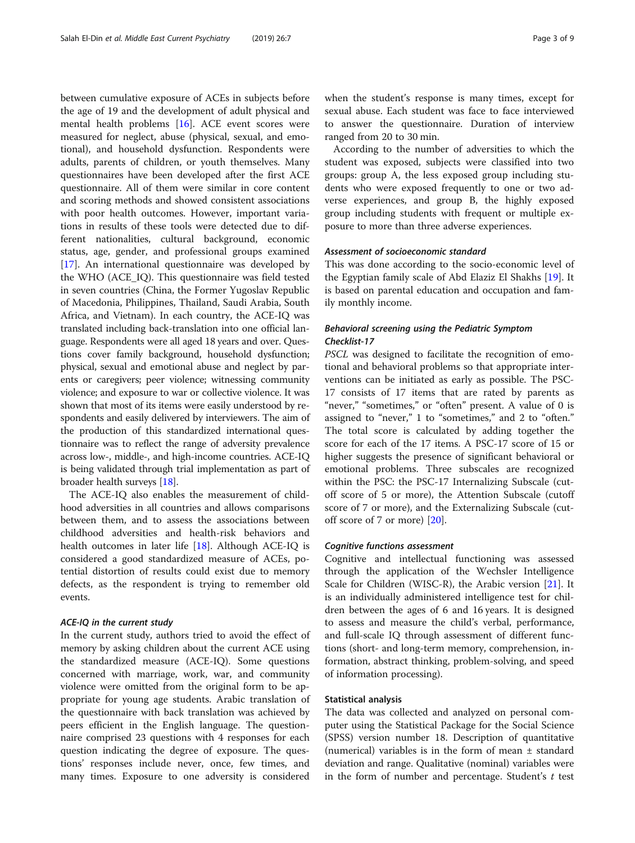between cumulative exposure of ACEs in subjects before the age of 19 and the development of adult physical and mental health problems [[16\]](#page-7-0). ACE event scores were measured for neglect, abuse (physical, sexual, and emotional), and household dysfunction. Respondents were adults, parents of children, or youth themselves. Many questionnaires have been developed after the first ACE questionnaire. All of them were similar in core content and scoring methods and showed consistent associations with poor health outcomes. However, important variations in results of these tools were detected due to different nationalities, cultural background, economic status, age, gender, and professional groups examined [[17\]](#page-7-0). An international questionnaire was developed by the WHO (ACE\_IQ). This questionnaire was field tested in seven countries (China, the Former Yugoslav Republic of Macedonia, Philippines, Thailand, Saudi Arabia, South Africa, and Vietnam). In each country, the ACE-IQ was translated including back-translation into one official language. Respondents were all aged 18 years and over. Questions cover family background, household dysfunction; physical, sexual and emotional abuse and neglect by parents or caregivers; peer violence; witnessing community violence; and exposure to war or collective violence. It was shown that most of its items were easily understood by respondents and easily delivered by interviewers. The aim of the production of this standardized international questionnaire was to reflect the range of adversity prevalence across low-, middle-, and high-income countries. ACE-IQ is being validated through trial implementation as part of broader health surveys [[18](#page-7-0)].

The ACE-IQ also enables the measurement of childhood adversities in all countries and allows comparisons between them, and to assess the associations between childhood adversities and health-risk behaviors and health outcomes in later life [\[18](#page-7-0)]. Although ACE-IQ is considered a good standardized measure of ACEs, potential distortion of results could exist due to memory defects, as the respondent is trying to remember old events.

## ACE-IQ in the current study

In the current study, authors tried to avoid the effect of memory by asking children about the current ACE using the standardized measure (ACE-IQ). Some questions concerned with marriage, work, war, and community violence were omitted from the original form to be appropriate for young age students. Arabic translation of the questionnaire with back translation was achieved by peers efficient in the English language. The questionnaire comprised 23 questions with 4 responses for each question indicating the degree of exposure. The questions' responses include never, once, few times, and many times. Exposure to one adversity is considered

when the student's response is many times, except for sexual abuse. Each student was face to face interviewed to answer the questionnaire. Duration of interview ranged from 20 to 30 min.

According to the number of adversities to which the student was exposed, subjects were classified into two groups: group A, the less exposed group including students who were exposed frequently to one or two adverse experiences, and group B, the highly exposed group including students with frequent or multiple exposure to more than three adverse experiences.

## Assessment of socioeconomic standard

This was done according to the socio-economic level of the Egyptian family scale of Abd Elaziz El Shakhs [[19\]](#page-7-0). It is based on parental education and occupation and family monthly income.

## Behavioral screening using the Pediatric Symptom Checklist-17

PSCL was designed to facilitate the recognition of emotional and behavioral problems so that appropriate interventions can be initiated as early as possible. The PSC-17 consists of 17 items that are rated by parents as "never," "sometimes," or "often" present. A value of 0 is assigned to "never," 1 to "sometimes," and 2 to "often." The total score is calculated by adding together the score for each of the 17 items. A PSC-17 score of 15 or higher suggests the presence of significant behavioral or emotional problems. Three subscales are recognized within the PSC: the PSC-17 Internalizing Subscale (cutoff score of 5 or more), the Attention Subscale (cutoff score of 7 or more), and the Externalizing Subscale (cutoff score of 7 or more) [[20\]](#page-7-0).

## Cognitive functions assessment

Cognitive and intellectual functioning was assessed through the application of the Wechsler Intelligence Scale for Children (WISC-R), the Arabic version [\[21](#page-7-0)]. It is an individually administered intelligence test for children between the ages of 6 and 16 years. It is designed to assess and measure the child's verbal, performance, and full-scale IQ through assessment of different functions (short- and long-term memory, comprehension, information, abstract thinking, problem-solving, and speed of information processing).

#### Statistical analysis

The data was collected and analyzed on personal computer using the Statistical Package for the Social Science (SPSS) version number 18. Description of quantitative (numerical) variables is in the form of mean  $\pm$  standard deviation and range. Qualitative (nominal) variables were in the form of number and percentage. Student's  $t$  test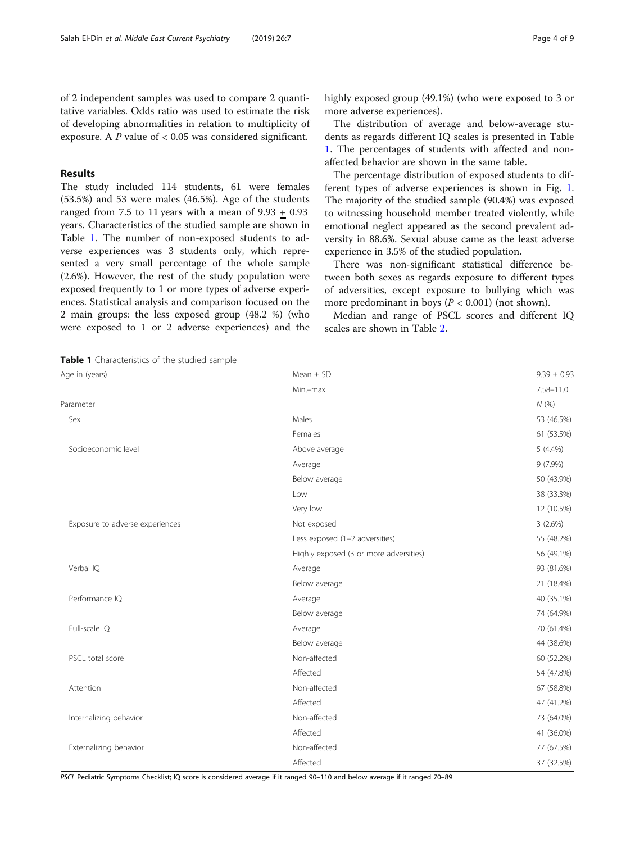of 2 independent samples was used to compare 2 quantitative variables. Odds ratio was used to estimate the risk of developing abnormalities in relation to multiplicity of exposure. A P value of < 0.05 was considered significant.

## Results

The study included 114 students, 61 were females (53.5%) and 53 were males (46.5%). Age of the students ranged from 7.5 to 11 years with a mean of  $9.93 + 0.93$ years. Characteristics of the studied sample are shown in Table 1. The number of non-exposed students to adverse experiences was 3 students only, which represented a very small percentage of the whole sample (2.6%). However, the rest of the study population were exposed frequently to 1 or more types of adverse experiences. Statistical analysis and comparison focused on the 2 main groups: the less exposed group (48.2 %) (who were exposed to 1 or 2 adverse experiences) and the highly exposed group (49.1%) (who were exposed to 3 or more adverse experiences).

The distribution of average and below-average students as regards different IQ scales is presented in Table 1. The percentages of students with affected and nonaffected behavior are shown in the same table.

The percentage distribution of exposed students to different types of adverse experiences is shown in Fig. [1](#page-4-0). The majority of the studied sample (90.4%) was exposed to witnessing household member treated violently, while emotional neglect appeared as the second prevalent adversity in 88.6%. Sexual abuse came as the least adverse experience in 3.5% of the studied population.

There was non-significant statistical difference between both sexes as regards exposure to different types of adversities, except exposure to bullying which was more predominant in boys ( $P < 0.001$ ) (not shown).

Median and range of PSCL scores and different IQ scales are shown in Table [2.](#page-4-0)

Table 1 Characteristics of the studied sample

| Age in (years)                  | Mean $\pm$ SD                          | $9.39 \pm 0.93$ |
|---------------------------------|----------------------------------------|-----------------|
|                                 | Min.-max.                              | $7.58 - 11.0$   |
| Parameter                       |                                        | N(%             |
| Sex                             | Males                                  | 53 (46.5%)      |
|                                 | Females                                | 61 (53.5%)      |
| Socioeconomic level             | Above average                          | $5(4.4\%)$      |
|                                 | Average                                | $9(7.9\%)$      |
|                                 | Below average                          | 50 (43.9%)      |
|                                 | Low                                    | 38 (33.3%)      |
|                                 | Very low                               | 12 (10.5%)      |
| Exposure to adverse experiences | Not exposed                            | 3(2.6%)         |
|                                 | Less exposed (1-2 adversities)         | 55 (48.2%)      |
|                                 | Highly exposed (3 or more adversities) | 56 (49.1%)      |
| Verbal IQ                       | Average                                | 93 (81.6%)      |
|                                 | Below average                          | 21 (18.4%)      |
| Performance IQ                  | Average                                | 40 (35.1%)      |
|                                 | Below average                          | 74 (64.9%)      |
| Full-scale IQ                   | Average                                | 70 (61.4%)      |
|                                 | Below average                          | 44 (38.6%)      |
| PSCL total score                | Non-affected                           | 60 (52.2%)      |
|                                 | Affected                               | 54 (47.8%)      |
| Attention                       | Non-affected                           | 67 (58.8%)      |
|                                 | Affected                               | 47 (41.2%)      |
| Internalizing behavior          | Non-affected                           | 73 (64.0%)      |
|                                 | Affected                               | 41 (36.0%)      |
| Externalizing behavior          | Non-affected                           | 77 (67.5%)      |
|                                 | Affected                               | 37 (32.5%)      |

PSCL Pediatric Symptoms Checklist; IQ score is considered average if it ranged 90–110 and below average if it ranged 70–89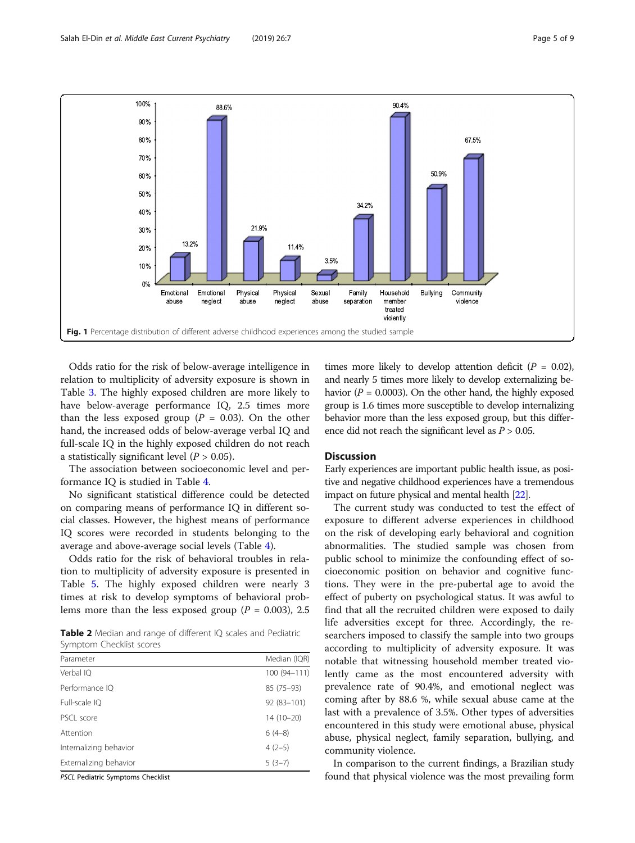<span id="page-4-0"></span>

Odds ratio for the risk of below-average intelligence in relation to multiplicity of adversity exposure is shown in Table [3](#page-5-0). The highly exposed children are more likely to have below-average performance IQ, 2.5 times more than the less exposed group ( $P = 0.03$ ). On the other hand, the increased odds of below-average verbal IQ and full-scale IQ in the highly exposed children do not reach a statistically significant level ( $P > 0.05$ ).

The association between socioeconomic level and performance IQ is studied in Table [4.](#page-5-0)

No significant statistical difference could be detected on comparing means of performance IQ in different social classes. However, the highest means of performance IQ scores were recorded in students belonging to the average and above-average social levels (Table [4](#page-5-0)).

Odds ratio for the risk of behavioral troubles in relation to multiplicity of adversity exposure is presented in Table [5](#page-6-0). The highly exposed children were nearly 3 times at risk to develop symptoms of behavioral problems more than the less exposed group ( $P = 0.003$ ), 2.5

Table 2 Median and range of different IQ scales and Pediatric Symptom Checklist scores

| Parameter              | Median (IQR)    |
|------------------------|-----------------|
| Verbal IQ              | $100(94 - 111)$ |
| Performance IQ         | $85(75-93)$     |
| Full-scale IO          | $92(83 - 101)$  |
| PSCL score             | $14(10-20)$     |
| Attention              | $6(4-8)$        |
| Internalizing behavior | $4(2-5)$        |
| Externalizing behavior | $5(3-7)$        |

PSCL Pediatric Symptoms Checklist

times more likely to develop attention deficit  $(P = 0.02)$ , and nearly 5 times more likely to develop externalizing behavior ( $P = 0.0003$ ). On the other hand, the highly exposed group is 1.6 times more susceptible to develop internalizing behavior more than the less exposed group, but this difference did not reach the significant level as  $P > 0.05$ .

## **Discussion**

Early experiences are important public health issue, as positive and negative childhood experiences have a tremendous impact on future physical and mental health [\[22\]](#page-7-0).

The current study was conducted to test the effect of exposure to different adverse experiences in childhood on the risk of developing early behavioral and cognition abnormalities. The studied sample was chosen from public school to minimize the confounding effect of socioeconomic position on behavior and cognitive functions. They were in the pre-pubertal age to avoid the effect of puberty on psychological status. It was awful to find that all the recruited children were exposed to daily life adversities except for three. Accordingly, the researchers imposed to classify the sample into two groups according to multiplicity of adversity exposure. It was notable that witnessing household member treated violently came as the most encountered adversity with prevalence rate of 90.4%, and emotional neglect was coming after by 88.6 %, while sexual abuse came at the last with a prevalence of 3.5%. Other types of adversities encountered in this study were emotional abuse, physical abuse, physical neglect, family separation, bullying, and community violence.

In comparison to the current findings, a Brazilian study found that physical violence was the most prevailing form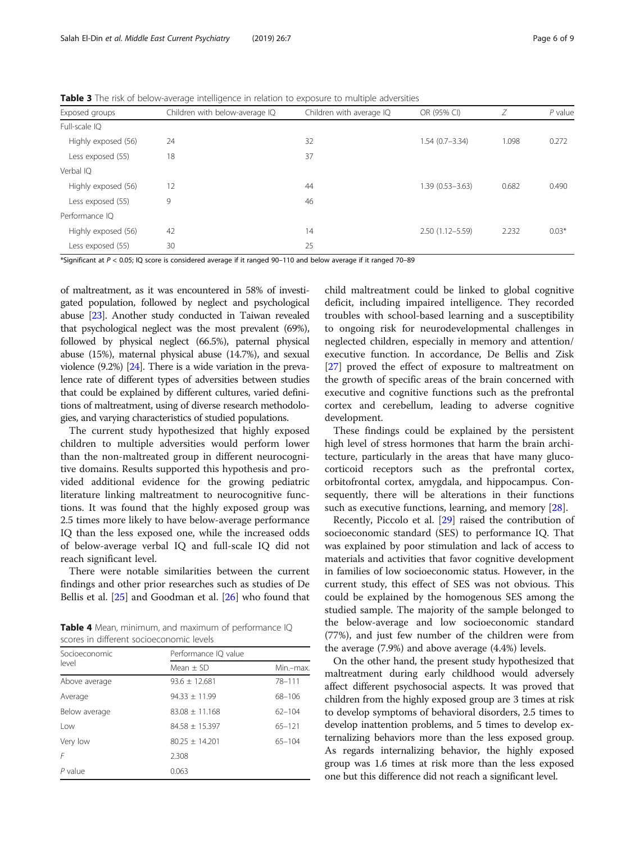<span id="page-5-0"></span>**Table 3** The risk of below-average intelligence in relation to exposure to multiple adversities

|                     | $\tilde{}$<br>$\tilde{}$       |                          |                     |       |           |
|---------------------|--------------------------------|--------------------------|---------------------|-------|-----------|
| Exposed groups      | Children with below-average IQ | Children with average IQ | OR (95% CI)         |       | $P$ value |
| Full-scale IQ       |                                |                          |                     |       |           |
| Highly exposed (56) | 24                             | 32                       | $1.54(0.7 - 3.34)$  | 1.098 | 0.272     |
| Less exposed (55)   | 18                             | 37                       |                     |       |           |
| Verbal IO           |                                |                          |                     |       |           |
| Highly exposed (56) | 12                             | 44                       | 1.39 (0.53-3.63)    | 0.682 | 0.490     |
| Less exposed (55)   | 9                              | 46                       |                     |       |           |
| Performance IO      |                                |                          |                     |       |           |
| Highly exposed (56) | 42                             | 14                       | $2.50(1.12 - 5.59)$ | 2.232 | $0.03*$   |
| Less exposed (55)   | 30                             | 25                       |                     |       |           |

\*Significant at P < 0.05; IQ score is considered average if it ranged 90–110 and below average if it ranged 70–89

of maltreatment, as it was encountered in 58% of investigated population, followed by neglect and psychological abuse [\[23\]](#page-7-0). Another study conducted in Taiwan revealed that psychological neglect was the most prevalent (69%), followed by physical neglect (66.5%), paternal physical abuse (15%), maternal physical abuse (14.7%), and sexual violence (9.2%) [\[24\]](#page-7-0). There is a wide variation in the prevalence rate of different types of adversities between studies that could be explained by different cultures, varied definitions of maltreatment, using of diverse research methodologies, and varying characteristics of studied populations.

The current study hypothesized that highly exposed children to multiple adversities would perform lower than the non-maltreated group in different neurocognitive domains. Results supported this hypothesis and provided additional evidence for the growing pediatric literature linking maltreatment to neurocognitive functions. It was found that the highly exposed group was 2.5 times more likely to have below-average performance IQ than the less exposed one, while the increased odds of below-average verbal IQ and full-scale IQ did not reach significant level.

There were notable similarities between the current findings and other prior researches such as studies of De Bellis et al. [\[25](#page-7-0)] and Goodman et al. [\[26\]](#page-7-0) who found that

Table 4 Mean, minimum, and maximum of performance IQ scores in different socioeconomic levels

| Socioeconomic | Performance IQ value |            |
|---------------|----------------------|------------|
| level         | Mean $\pm$ SD        | Min.-max.  |
| Above average | $93.6 \pm 12.681$    | $78 - 111$ |
| Average       | $94.33 \pm 11.99$    | $68 - 106$ |
| Below average | $83.08 \pm 11.168$   | $62 - 104$ |
| l ow          | $84.58 \pm 15.397$   | $65 - 121$ |
| Very low      | $80.25 + 14.201$     | $65 - 104$ |
| F             | 2.308                |            |
| $P$ value     | 0.063                |            |

child maltreatment could be linked to global cognitive deficit, including impaired intelligence. They recorded troubles with school-based learning and a susceptibility to ongoing risk for neurodevelopmental challenges in neglected children, especially in memory and attention/ executive function. In accordance, De Bellis and Zisk [[27\]](#page-7-0) proved the effect of exposure to maltreatment on the growth of specific areas of the brain concerned with executive and cognitive functions such as the prefrontal cortex and cerebellum, leading to adverse cognitive development.

These findings could be explained by the persistent high level of stress hormones that harm the brain architecture, particularly in the areas that have many glucocorticoid receptors such as the prefrontal cortex, orbitofrontal cortex, amygdala, and hippocampus. Consequently, there will be alterations in their functions such as executive functions, learning, and memory [[28\]](#page-7-0).

Recently, Piccolo et al. [\[29](#page-7-0)] raised the contribution of socioeconomic standard (SES) to performance IQ. That was explained by poor stimulation and lack of access to materials and activities that favor cognitive development in families of low socioeconomic status. However, in the current study, this effect of SES was not obvious. This could be explained by the homogenous SES among the studied sample. The majority of the sample belonged to the below-average and low socioeconomic standard (77%), and just few number of the children were from the average (7.9%) and above average (4.4%) levels.

On the other hand, the present study hypothesized that maltreatment during early childhood would adversely affect different psychosocial aspects. It was proved that children from the highly exposed group are 3 times at risk to develop symptoms of behavioral disorders, 2.5 times to develop inattention problems, and 5 times to develop externalizing behaviors more than the less exposed group. As regards internalizing behavior, the highly exposed group was 1.6 times at risk more than the less exposed one but this difference did not reach a significant level.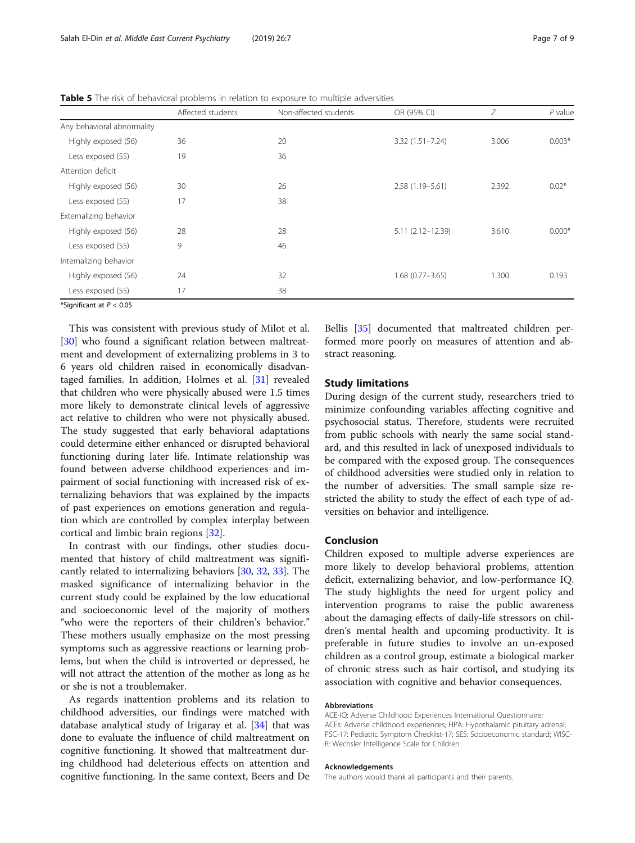|                            | Affected students | Non-affected students | OR (95% CI)          | Ζ     | $P$ value |
|----------------------------|-------------------|-----------------------|----------------------|-------|-----------|
| Any behavioral abnormality |                   |                       |                      |       |           |
| Highly exposed (56)        | 36                | 20                    | $3.32(1.51 - 7.24)$  | 3.006 | $0.003*$  |
| Less exposed (55)          | 19                | 36                    |                      |       |           |
| Attention deficit          |                   |                       |                      |       |           |
| Highly exposed (56)        | 30                | 26                    | 2.58 (1.19-5.61)     | 2.392 | $0.02*$   |
| Less exposed (55)          | 17                | 38                    |                      |       |           |
| Externalizing behavior     |                   |                       |                      |       |           |
| Highly exposed (56)        | 28                | 28                    | $5.11(2.12 - 12.39)$ | 3.610 | $0.000*$  |
| Less exposed (55)          | 9                 | 46                    |                      |       |           |
| Internalizing behavior     |                   |                       |                      |       |           |
| Highly exposed (56)        | 24                | 32                    | $1.68(0.77 - 3.65)$  | 1.300 | 0.193     |
| Less exposed (55)          | 17                | 38                    |                      |       |           |

<span id="page-6-0"></span>Table 5 The risk of behavioral problems in relation to exposure to multiple adversities

\*Significant at  $P < 0.05$ 

This was consistent with previous study of Milot et al. [[30\]](#page-7-0) who found a significant relation between maltreatment and development of externalizing problems in 3 to 6 years old children raised in economically disadvantaged families. In addition, Holmes et al. [[31](#page-7-0)] revealed that children who were physically abused were 1.5 times more likely to demonstrate clinical levels of aggressive act relative to children who were not physically abused. The study suggested that early behavioral adaptations could determine either enhanced or disrupted behavioral functioning during later life. Intimate relationship was found between adverse childhood experiences and impairment of social functioning with increased risk of externalizing behaviors that was explained by the impacts of past experiences on emotions generation and regulation which are controlled by complex interplay between cortical and limbic brain regions [\[32\]](#page-7-0).

In contrast with our findings, other studies documented that history of child maltreatment was significantly related to internalizing behaviors [[30,](#page-7-0) [32,](#page-7-0) [33\]](#page-7-0). The masked significance of internalizing behavior in the current study could be explained by the low educational and socioeconomic level of the majority of mothers "who were the reporters of their children's behavior." These mothers usually emphasize on the most pressing symptoms such as aggressive reactions or learning problems, but when the child is introverted or depressed, he will not attract the attention of the mother as long as he or she is not a troublemaker.

As regards inattention problems and its relation to childhood adversities, our findings were matched with database analytical study of Irigaray et al. [[34](#page-8-0)] that was done to evaluate the influence of child maltreatment on cognitive functioning. It showed that maltreatment during childhood had deleterious effects on attention and cognitive functioning. In the same context, Beers and De Bellis [\[35](#page-8-0)] documented that maltreated children performed more poorly on measures of attention and abstract reasoning.

## Study limitations

During design of the current study, researchers tried to minimize confounding variables affecting cognitive and psychosocial status. Therefore, students were recruited from public schools with nearly the same social standard, and this resulted in lack of unexposed individuals to be compared with the exposed group. The consequences of childhood adversities were studied only in relation to the number of adversities. The small sample size restricted the ability to study the effect of each type of adversities on behavior and intelligence.

## Conclusion

Children exposed to multiple adverse experiences are more likely to develop behavioral problems, attention deficit, externalizing behavior, and low-performance IQ. The study highlights the need for urgent policy and intervention programs to raise the public awareness about the damaging effects of daily-life stressors on children's mental health and upcoming productivity. It is preferable in future studies to involve an un-exposed children as a control group, estimate a biological marker of chronic stress such as hair cortisol, and studying its association with cognitive and behavior consequences.

## Abbreviations

ACE-IQ: Adverse Childhood Experiences International Questionnaire; ACEs: Adverse childhood experiences; HPA: Hypothalamic pituitary adrenal; PSC-17: Pediatric Symptom Checklist-17; SES: Socioeconomic standard; WISC-R: Wechsler Intelligence Scale for Children

#### Acknowledgements

The authors would thank all participants and their parents.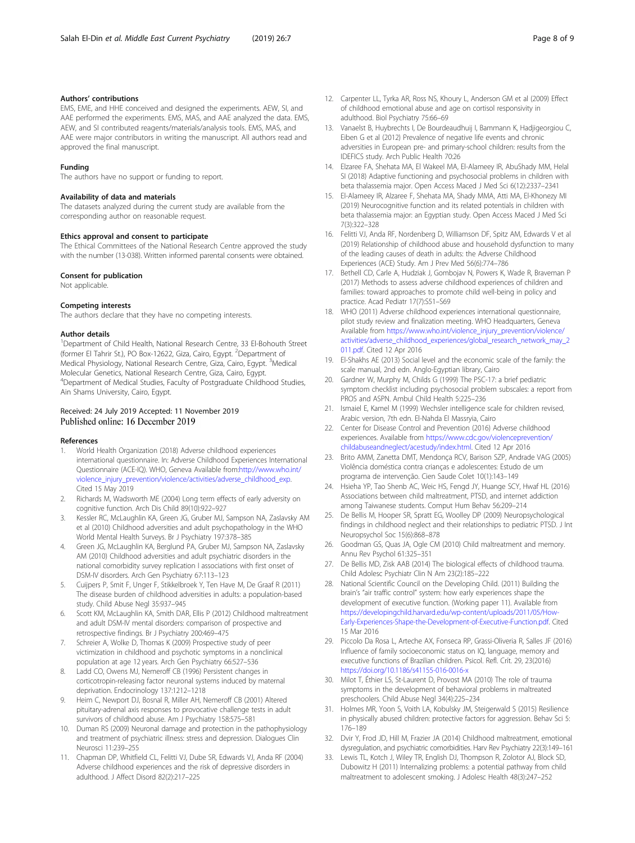#### <span id="page-7-0"></span>Authors' contributions

EMS, EME, and HHE conceived and designed the experiments. AEW, SI, and AAE performed the experiments. EMS, MAS, and AAE analyzed the data. EMS, AEW, and SI contributed reagents/materials/analysis tools. EMS, MAS, and AAE were major contributors in writing the manuscript. All authors read and approved the final manuscript.

#### Funding

The authors have no support or funding to report.

#### Availability of data and materials

The datasets analyzed during the current study are available from the corresponding author on reasonable request.

#### Ethics approval and consent to participate

The Ethical Committees of the National Research Centre approved the study with the number (13-038). Written informed parental consents were obtained.

#### Consent for publication

Not applicable.

#### Competing interests

The authors declare that they have no competing interests.

#### Author details

<sup>1</sup>Department of Child Health, National Research Centre, 33 El-Bohouth Street (former El Tahrir St.), PO Box-12622, Giza, Cairo, Egypt. <sup>2</sup>Department of Medical Physiology, National Research Centre, Giza, Cairo, Egypt. <sup>3</sup>Medical Molecular Genetics, National Research Centre, Giza, Cairo, Egypt. 4 Department of Medical Studies, Faculty of Postgraduate Childhood Studies, Ain Shams University, Cairo, Egypt.

#### Received: 24 July 2019 Accepted: 11 November 2019 Published online: 16 December 2019

#### References

- 1. World Health Organization (2018) Adverse childhood experiences international questionnaire. In: Adverse Childhood Experiences International Questionnaire (ACE-IQ). WHO, Geneva Available from[:http://www.who.int/](http://www.who.int/violence_injury_prevention/violence/activities/adverse_childhood_exp) [violence\\_injury\\_prevention/violence/activities/adverse\\_childhood\\_exp](http://www.who.int/violence_injury_prevention/violence/activities/adverse_childhood_exp). Cited 15 May 2019
- 2. Richards M, Wadsworth ME (2004) Long term effects of early adversity on cognitive function. Arch Dis Child 89(10):922–927
- 3. Kessler RC, McLaughlin KA, Green JG, Gruber MJ, Sampson NA, Zaslavsky AM et al (2010) Childhood adversities and adult psychopathology in the WHO World Mental Health Surveys. Br J Psychiatry 197:378–385
- 4. Green JG, McLaughlin KA, Berglund PA, Gruber MJ, Sampson NA, Zaslavsky AM (2010) Childhood adversities and adult psychiatric disorders in the national comorbidity survey replication I associations with first onset of DSM-IV disorders. Arch Gen Psychiatry 67:113–123
- 5. Cuijpers P, Smit F, Unger F, Stikkelbroek Y, Ten Have M, De Graaf R (2011) The disease burden of childhood adversities in adults: a population-based study. Child Abuse Negl 35:937–945
- 6. Scott KM, McLaughlin KA, Smith DAR, Ellis P (2012) Childhood maltreatment and adult DSM-IV mental disorders: comparison of prospective and retrospective findings. Br J Psychiatry 200:469–475
- 7. Schreier A, Wolke D, Thomas K (2009) Prospective study of peer victimization in childhood and psychotic symptoms in a nonclinical population at age 12 years. Arch Gen Psychiatry 66:527–536
- Ladd CO, Owens MJ, Nemeroff CB (1996) Persistent changes in corticotropin-releasing factor neuronal systems induced by maternal deprivation. Endocrinology 137:1212–1218
- 9. Heim C, Newport DJ, Bosnal R, Miller AH, Nemeroff CB (2001) Altered pituitary-adrenal axis responses to provocative challenge tests in adult survivors of childhood abuse. Am J Psychiatry 158:575–581
- 10. Duman RS (2009) Neuronal damage and protection in the pathophysiology and treatment of psychiatric illness: stress and depression. Dialogues Clin Neurosci 11:239–255
- 11. Chapman DP, Whitfield CL, Felitti VJ, Dube SR, Edwards VJ, Anda RF (2004) Adverse childhood experiences and the risk of depressive disorders in adulthood. J Affect Disord 82(2):217–225
- 12. Carpenter LL, Tyrka AR, Ross NS, Khoury L, Anderson GM et al (2009) Effect of childhood emotional abuse and age on cortisol responsivity in adulthood. Biol Psychiatry 75:66–69
- 13. Vanaelst B, Huybrechts I, De Bourdeaudhuij I, Bammann K, Hadjigeorgiou C, Eiben G et al (2012) Prevalence of negative life events and chronic adversities in European pre- and primary-school children: results from the IDEFICS study. Arch Public Health 70:26
- 14. Elzaree FA, Shehata MA, El Wakeel MA, El-Alameey IR, AbuShady MM, Helal SI (2018) Adaptive functioning and psychosocial problems in children with beta thalassemia major. Open Access Maced J Med Sci 6(12):2337–2341
- 15. El-Alameey IR, Alzaree F, Shehata MA, Shady MMA, Atti MA, El-Khonezy MI (2019) Neurocognitive function and its related potentials in children with beta thalassemia major: an Egyptian study. Open Access Maced J Med Sci 7(3):322–328
- 16. Felitti VJ, Anda RF, Nordenberg D, Williamson DF, Spitz AM, Edwards V et al (2019) Relationship of childhood abuse and household dysfunction to many of the leading causes of death in adults: the Adverse Childhood Experiences (ACE) Study. Am J Prev Med 56(6):774–786
- 17. Bethell CD, Carle A, Hudziak J, Gombojav N, Powers K, Wade R, Braveman P (2017) Methods to assess adverse childhood experiences of children and families: toward approaches to promote child well-being in policy and practice. Acad Pediatr 17(7):S51–S69
- 18. WHO (2011) Adverse childhood experiences international questionnaire, pilot study review and finalization meeting. WHO Headquarters, Geneva Available from [https://www.who.int/violence\\_injury\\_prevention/violence/](https://www.who.int/violence_injury_prevention/violence/activities/adverse_childhood_experiences/global_research_network_may_2011.pdf) [activities/adverse\\_childhood\\_experiences/global\\_research\\_network\\_may\\_2](https://www.who.int/violence_injury_prevention/violence/activities/adverse_childhood_experiences/global_research_network_may_2011.pdf) [011.pdf.](https://www.who.int/violence_injury_prevention/violence/activities/adverse_childhood_experiences/global_research_network_may_2011.pdf) Cited 12 Apr 2016
- 19. El-Shakhs AE (2013) Social level and the economic scale of the family: the scale manual, 2nd edn. Anglo-Egyptian library, Cairo
- 20. Gardner W, Murphy M, Childs G (1999) The PSC-17: a brief pediatric symptom checklist including psychosocial problem subscales: a report from PROS and ASPN. Ambul Child Health 5:225–236
- 21. Ismaiel E, Kamel M (1999) Wechsler intelligence scale for children revised, Arabic version, 7th edn. El-Nahda El Massryia, Cairo
- 22. Center for Disease Control and Prevention (2016) Adverse childhood experiences. Available from [https://www.cdc.gov/violenceprevention/](https://www.cdc.gov/violenceprevention/childabuseandneglect/acestudy/index.html) [childabuseandneglect/acestudy/index.html](https://www.cdc.gov/violenceprevention/childabuseandneglect/acestudy/index.html). Cited 12 Apr 2016
- 23. Brito AMM, Zanetta DMT, Mendonça RCV, Barison SZP, Andrade VAG (2005) Violência doméstica contra crianças e adolescentes: Estudo de um programa de intervenção. Cien Saude Colet 10(1):143–149
- 24. Hsieha YP, Tao Shenb AC, Weic HS, Fengd JY, Huange SCY, Hwaf HL (2016) Associations between child maltreatment, PTSD, and internet addiction among Taiwanese students. Comput Hum Behav 56:209–214
- 25. De Bellis M, Hooper SR, Spratt EG, Woolley DP (2009) Neuropsychological findings in childhood neglect and their relationships to pediatric PTSD. J Int Neuropsychol Soc 15(6):868–878
- 26. Goodman GS, Quas JA, Ogle CM (2010) Child maltreatment and memory. Annu Rev Psychol 61:325–351
- 27. De Bellis MD, Zisk AAB (2014) The biological effects of childhood trauma. Child Adolesc Psychiatr Clin N Am 23(2):185–222
- 28. National Scientific Council on the Developing Child. (2011) Building the brain's "air traffic control" system: how early experiences shape the development of executive function. (Working paper 11). Available from [https://developingchild.harvard.edu/wp-content/uploads/2011/05/How-](https://developingchild.harvard.edu/wp-content/uploads/2011/05/How-Early-Experiences-Shape-the-Development-of-Executive-Function.pdf)[Early-Experiences-Shape-the-Development-of-Executive-Function.pdf.](https://developingchild.harvard.edu/wp-content/uploads/2011/05/How-Early-Experiences-Shape-the-Development-of-Executive-Function.pdf) Cited 15 Mar 2016
- 29. Piccolo Da Rosa L, Arteche AX, Fonseca RP, Grassi-Oliveria R, Salles JF (2016) Influence of family socioeconomic status on IQ, language, memory and executive functions of Brazilian children. Psicol. Refl. Crít. 29, 23(2016) <https://doi.org/10.1186/s41155-016-0016-x>
- 30. Milot T, Éthier LS, St-Laurent D, Provost MA (2010) The role of trauma symptoms in the development of behavioral problems in maltreated preschoolers. Child Abuse Negl 34(4):225–234
- 31. Holmes MR, Yoon S, Voith LA, Kobulsky JM, Steigerwald S (2015) Resilience in physically abused children: protective factors for aggression. Behav Sci 5: 176–189
- 32. Dvir Y, Frod JD, Hill M, Frazier JA (2014) Childhood maltreatment, emotional dysregulation, and psychiatric comorbidities. Harv Rev Psychiatry 22(3):149–161
- 33. Lewis TL, Kotch J, Wiley TR, English DJ, Thompson R, Zolotor AJ, Block SD, Dubowitz H (2011) Internalizing problems: a potential pathway from child maltreatment to adolescent smoking. J Adolesc Health 48(3):247–252